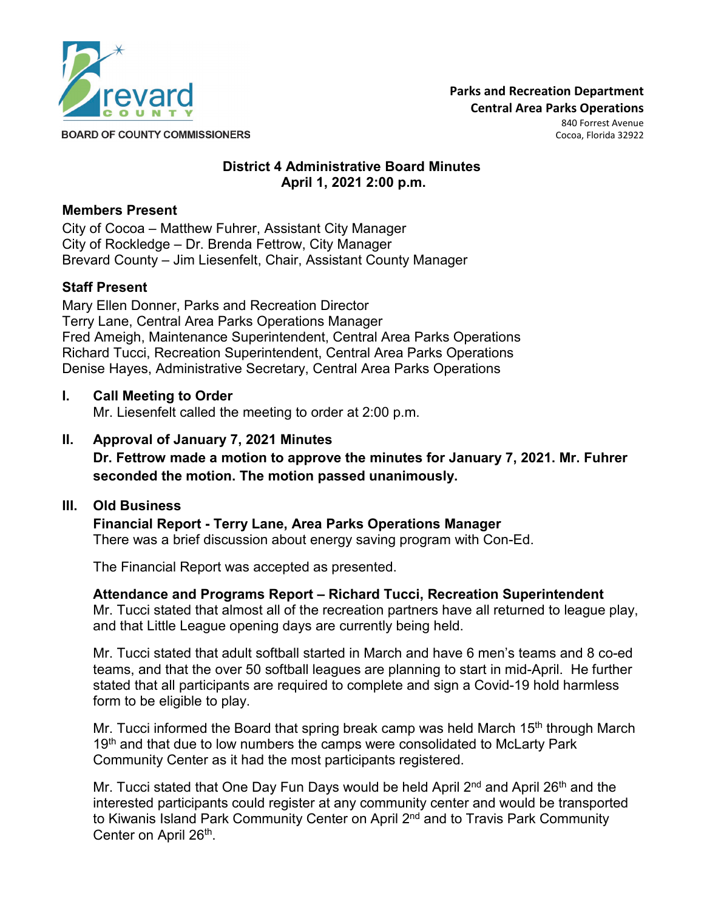

**Parks and Recreation Department Central Area Parks Operations** 

840 Forrest Avenue Cocoa, Florida 32922

**District 4 Administrative Board Minutes April 1, 2021 2:00 p.m.**

#### **Members Present**

City of Cocoa – Matthew Fuhrer, Assistant City Manager City of Rockledge – Dr. Brenda Fettrow, City Manager Brevard County – Jim Liesenfelt, Chair, Assistant County Manager

# **Staff Present**

Mary Ellen Donner, Parks and Recreation Director Terry Lane, Central Area Parks Operations Manager Fred Ameigh, Maintenance Superintendent, Central Area Parks Operations Richard Tucci, Recreation Superintendent, Central Area Parks Operations Denise Hayes, Administrative Secretary, Central Area Parks Operations

#### **I. Call Meeting to Order**

Mr. Liesenfelt called the meeting to order at 2:00 p.m.

**II. Approval of January 7, 2021 Minutes Dr. Fettrow made a motion to approve the minutes for January 7, 2021. Mr. Fuhrer seconded the motion. The motion passed unanimously.**

#### **III. Old Business**

**Financial Report - Terry Lane, Area Parks Operations Manager** There was a brief discussion about energy saving program with Con-Ed.

The Financial Report was accepted as presented.

**Attendance and Programs Report – Richard Tucci, Recreation Superintendent** Mr. Tucci stated that almost all of the recreation partners have all returned to league play, and that Little League opening days are currently being held.

Mr. Tucci stated that adult softball started in March and have 6 men's teams and 8 co-ed teams, and that the over 50 softball leagues are planning to start in mid-April. He further stated that all participants are required to complete and sign a Covid-19 hold harmless form to be eligible to play.

Mr. Tucci informed the Board that spring break camp was held March 15<sup>th</sup> through March 19<sup>th</sup> and that due to low numbers the camps were consolidated to McLarty Park Community Center as it had the most participants registered.

Mr. Tucci stated that One Day Fun Days would be held April  $2<sup>nd</sup>$  and April  $26<sup>th</sup>$  and the interested participants could register at any community center and would be transported to Kiwanis Island Park Community Center on April 2<sup>nd</sup> and to Travis Park Community Center on April 26<sup>th</sup>.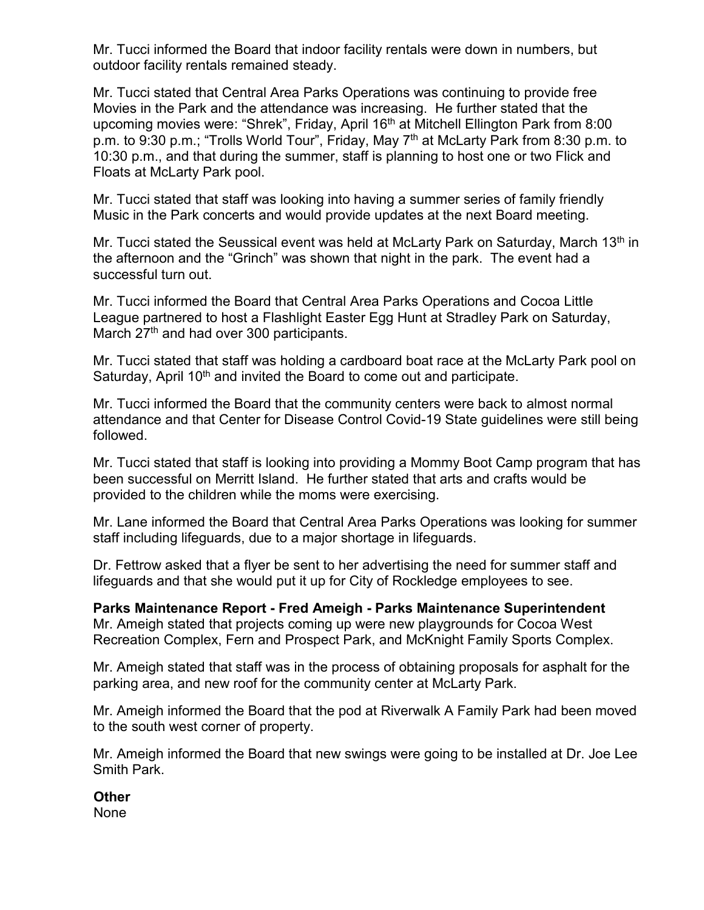Mr. Tucci informed the Board that indoor facility rentals were down in numbers, but outdoor facility rentals remained steady.

Mr. Tucci stated that Central Area Parks Operations was continuing to provide free Movies in the Park and the attendance was increasing. He further stated that the upcoming movies were: "Shrek", Friday, April 16<sup>th</sup> at Mitchell Ellington Park from 8:00 p.m. to 9:30 p.m.; "Trolls World Tour", Friday, May 7<sup>th</sup> at McLarty Park from 8:30 p.m. to 10:30 p.m., and that during the summer, staff is planning to host one or two Flick and Floats at McLarty Park pool.

Mr. Tucci stated that staff was looking into having a summer series of family friendly Music in the Park concerts and would provide updates at the next Board meeting.

Mr. Tucci stated the Seussical event was held at McLarty Park on Saturday, March 13<sup>th</sup> in the afternoon and the "Grinch" was shown that night in the park. The event had a successful turn out.

Mr. Tucci informed the Board that Central Area Parks Operations and Cocoa Little League partnered to host a Flashlight Easter Egg Hunt at Stradley Park on Saturday, March 27<sup>th</sup> and had over 300 participants.

Mr. Tucci stated that staff was holding a cardboard boat race at the McLarty Park pool on Saturday, April 10<sup>th</sup> and invited the Board to come out and participate.

Mr. Tucci informed the Board that the community centers were back to almost normal attendance and that Center for Disease Control Covid-19 State guidelines were still being followed.

Mr. Tucci stated that staff is looking into providing a Mommy Boot Camp program that has been successful on Merritt Island. He further stated that arts and crafts would be provided to the children while the moms were exercising.

Mr. Lane informed the Board that Central Area Parks Operations was looking for summer staff including lifeguards, due to a major shortage in lifeguards.

Dr. Fettrow asked that a flyer be sent to her advertising the need for summer staff and lifeguards and that she would put it up for City of Rockledge employees to see.

**Parks Maintenance Report - Fred Ameigh - Parks Maintenance Superintendent** Mr. Ameigh stated that projects coming up were new playgrounds for Cocoa West Recreation Complex, Fern and Prospect Park, and McKnight Family Sports Complex.

Mr. Ameigh stated that staff was in the process of obtaining proposals for asphalt for the parking area, and new roof for the community center at McLarty Park.

Mr. Ameigh informed the Board that the pod at Riverwalk A Family Park had been moved to the south west corner of property.

Mr. Ameigh informed the Board that new swings were going to be installed at Dr. Joe Lee Smith Park.

**Other**

None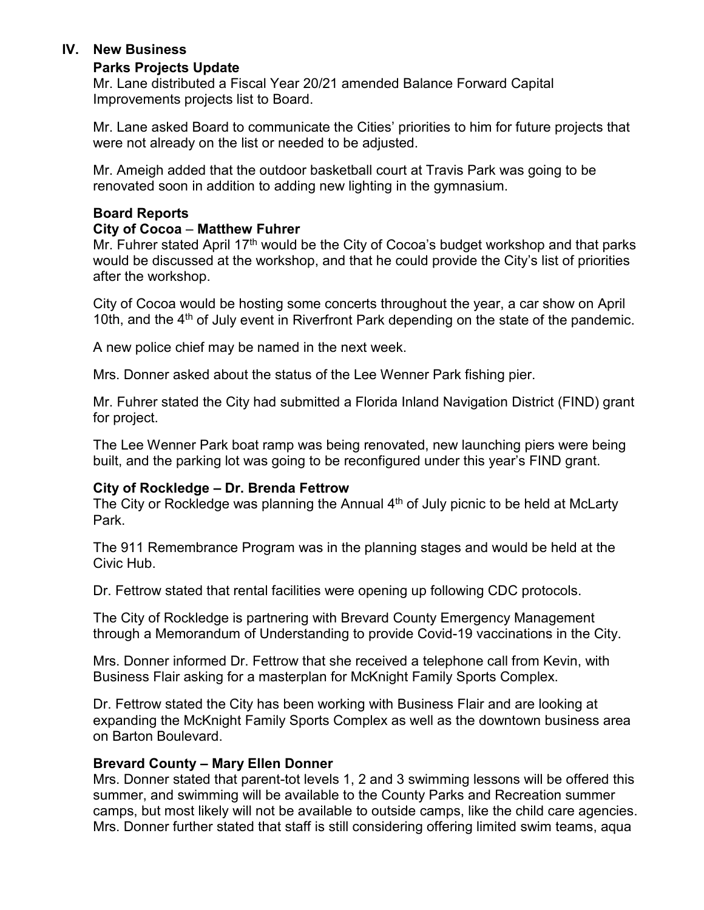#### **IV. New Business**

#### **Parks Projects Update**

Mr. Lane distributed a Fiscal Year 20/21 amended Balance Forward Capital Improvements projects list to Board.

Mr. Lane asked Board to communicate the Cities' priorities to him for future projects that were not already on the list or needed to be adjusted.

Mr. Ameigh added that the outdoor basketball court at Travis Park was going to be renovated soon in addition to adding new lighting in the gymnasium.

#### **Board Reports**

#### **City of Cocoa** – **Matthew Fuhrer**

Mr. Fuhrer stated April 17<sup>th</sup> would be the City of Cocoa's budget workshop and that parks would be discussed at the workshop, and that he could provide the City's list of priorities after the workshop.

City of Cocoa would be hosting some concerts throughout the year, a car show on April 10th, and the  $4<sup>th</sup>$  of July event in Riverfront Park depending on the state of the pandemic.

A new police chief may be named in the next week.

Mrs. Donner asked about the status of the Lee Wenner Park fishing pier.

Mr. Fuhrer stated the City had submitted a Florida Inland Navigation District (FIND) grant for project.

The Lee Wenner Park boat ramp was being renovated, new launching piers were being built, and the parking lot was going to be reconfigured under this year's FIND grant.

# **City of Rockledge – Dr. Brenda Fettrow**

The City or Rockledge was planning the Annual  $4<sup>th</sup>$  of July picnic to be held at McLarty Park.

The 911 Remembrance Program was in the planning stages and would be held at the Civic Hub.

Dr. Fettrow stated that rental facilities were opening up following CDC protocols.

The City of Rockledge is partnering with Brevard County Emergency Management through a Memorandum of Understanding to provide Covid-19 vaccinations in the City.

Mrs. Donner informed Dr. Fettrow that she received a telephone call from Kevin, with Business Flair asking for a masterplan for McKnight Family Sports Complex.

Dr. Fettrow stated the City has been working with Business Flair and are looking at expanding the McKnight Family Sports Complex as well as the downtown business area on Barton Boulevard.

# **Brevard County – Mary Ellen Donner**

Mrs. Donner stated that parent-tot levels 1, 2 and 3 swimming lessons will be offered this summer, and swimming will be available to the County Parks and Recreation summer camps, but most likely will not be available to outside camps, like the child care agencies. Mrs. Donner further stated that staff is still considering offering limited swim teams, aqua